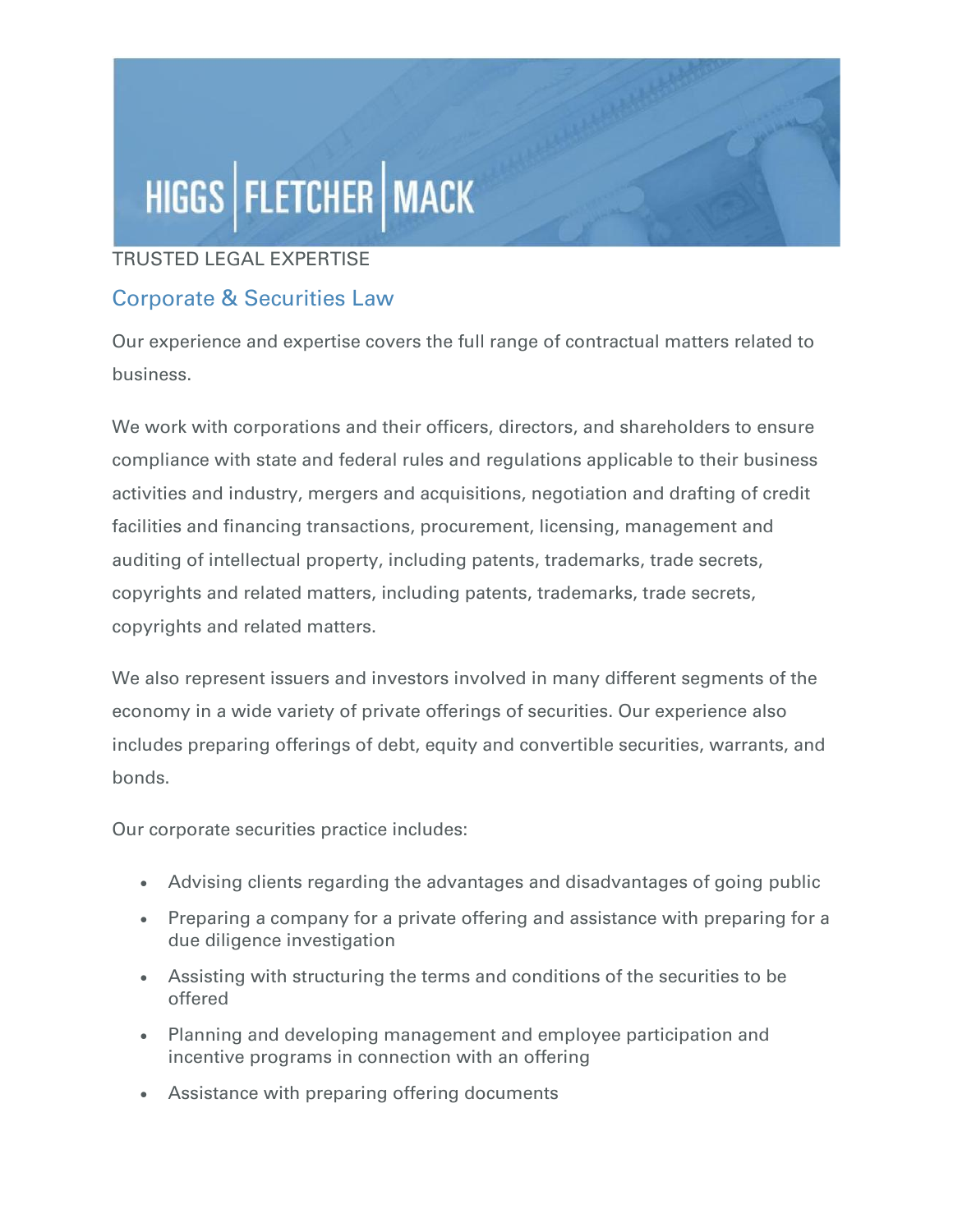# HIGGS | FLETCHER | MACK

#### TRUSTED LEGAL EXPERTISE

### Corporate & Securities Law

Our experience and expertise covers the full range of contractual matters related to business.

We work with corporations and their officers, directors, and shareholders to ensure compliance with state and federal rules and regulations applicable to their business activities and industry, mergers and acquisitions, negotiation and drafting of credit facilities and financing transactions, procurement, licensing, management and auditing of intellectual property, including patents, trademarks, trade secrets, copyrights and related matters, including patents, trademarks, trade secrets, copyrights and related matters.

We also represent issuers and investors involved in many different segments of the economy in a wide variety of private offerings of securities. Our experience also includes preparing offerings of debt, equity and convertible securities, warrants, and bonds.

Our corporate securities practice includes:

- Advising clients regarding the advantages and disadvantages of going public
- Preparing a company for a private offering and assistance with preparing for a due diligence investigation
- Assisting with structuring the terms and conditions of the securities to be offered
- Planning and developing management and employee participation and incentive programs in connection with an offering
- Assistance with preparing offering documents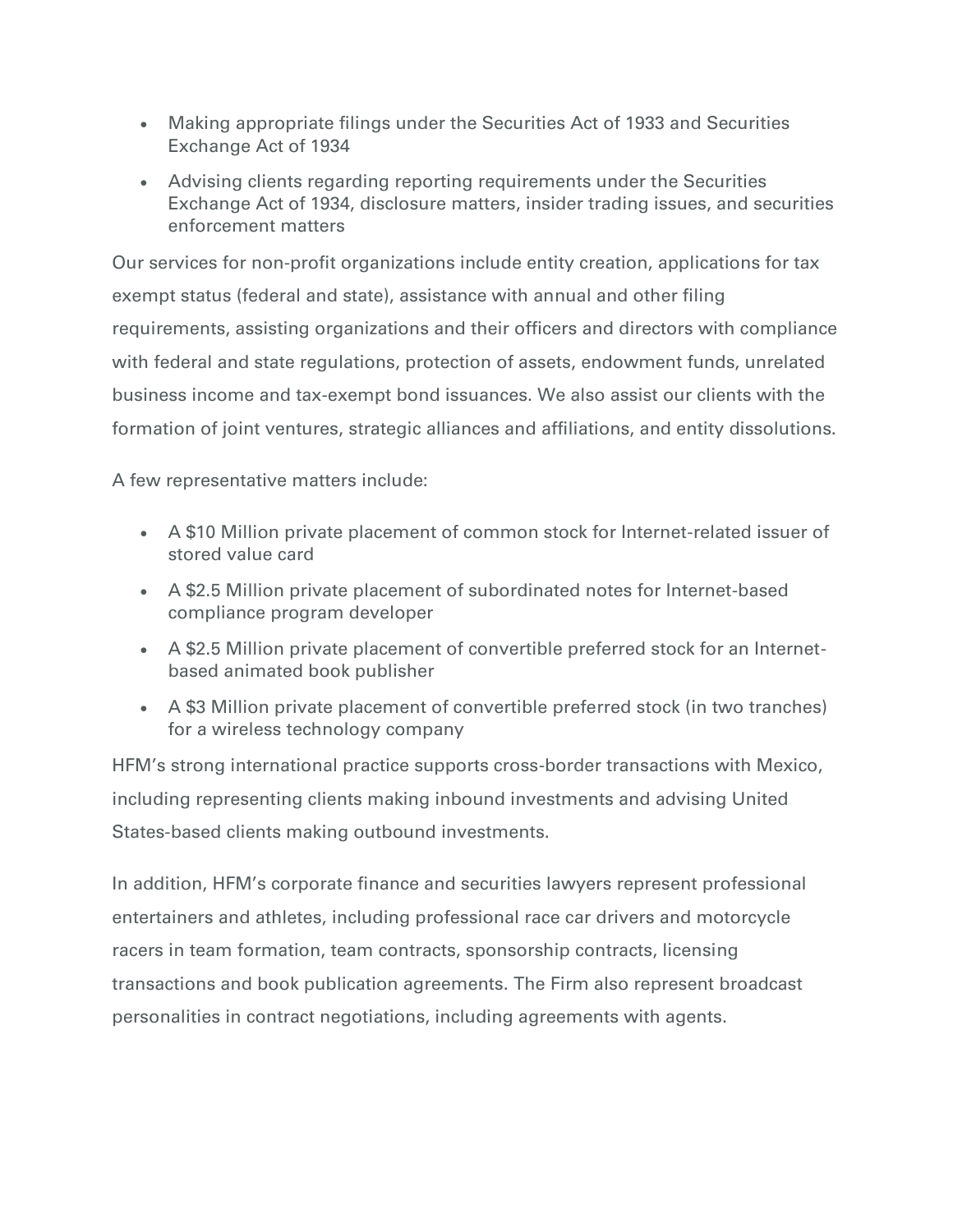- Making appropriate filings under the Securities Act of 1933 and Securities Exchange Act of 1934
- Advising clients regarding reporting requirements under the Securities Exchange Act of 1934, disclosure matters, insider trading issues, and securities enforcement matters

Our services for non-profit organizations include entity creation, applications for tax exempt status (federal and state), assistance with annual and other filing requirements, assisting organizations and their officers and directors with compliance with federal and state regulations, protection of assets, endowment funds, unrelated business income and tax-exempt bond issuances. We also assist our clients with the formation of joint ventures, strategic alliances and affiliations, and entity dissolutions.

A few representative matters include:

- A \$10 Million private placement of common stock for Internet-related issuer of stored value card
- A \$2.5 Million private placement of subordinated notes for Internet-based compliance program developer
- A \$2.5 Million private placement of convertible preferred stock for an Internetbased animated book publisher
- A \$3 Million private placement of convertible preferred stock (in two tranches) for a wireless technology company

HFM's strong international practice supports cross-border transactions with Mexico, including representing clients making inbound investments and advising United States-based clients making outbound investments.

In addition, HFM's corporate finance and securities lawyers represent professional entertainers and athletes, including professional race car drivers and motorcycle racers in team formation, team contracts, sponsorship contracts, licensing transactions and book publication agreements. The Firm also represent broadcast personalities in contract negotiations, including agreements with agents.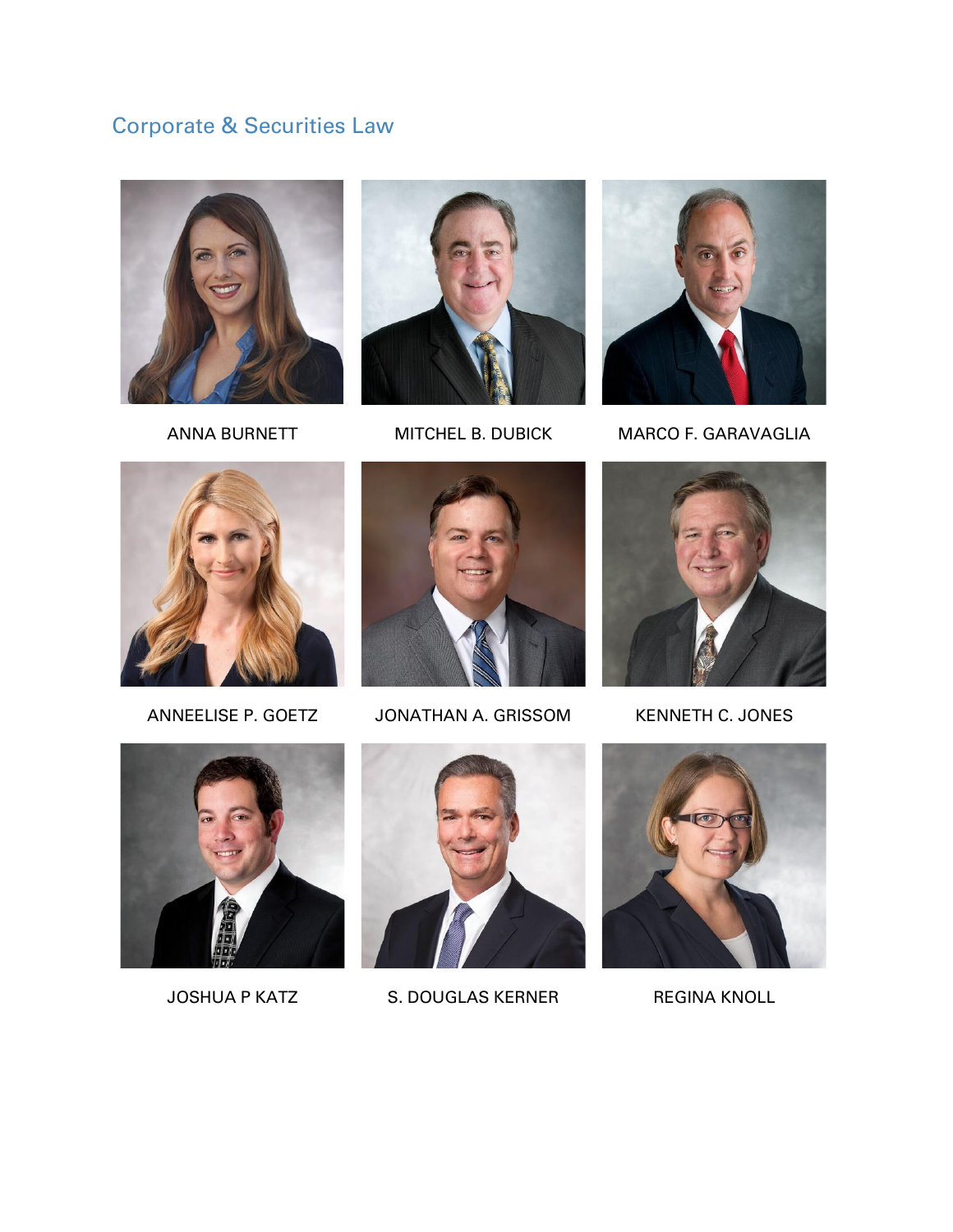## Corporate & Securities Law







ANNA BURNETT MITCHEL B. DUBICK MARCO F. GARAVAGLIA





ANNEELISE P. GOETZ JONATHAN A. GRISSOM KENNETH C. JONES







JOSHUA P KATZ S. DOUGLAS KERNER REGINA KNOLL